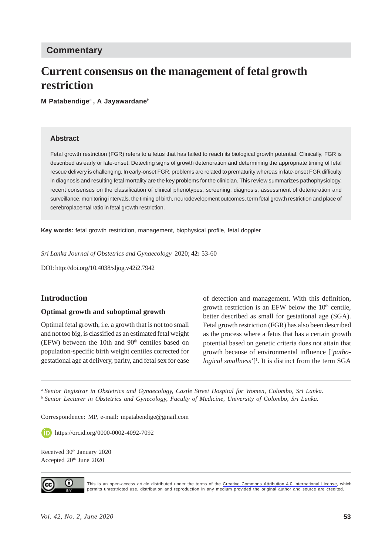# **Commentary**

# **Current consensus on the management of fetal growth restriction**

**M Patabendige**a **, A Jayawardane**<sup>b</sup>

#### **Abstract**

Fetal growth restriction (FGR) refers to a fetus that has failed to reach its biological growth potential. Clinically, FGR is described as early or late-onset. Detecting signs of growth deterioration and determining the appropriate timing of fetal rescue delivery is challenging. In early-onset FGR, problems are related to prematurity whereas in late-onset FGR difficulty in diagnosis and resulting fetal mortality are the key problems for the clinician. This review summarizes pathophysiology, recent consensus on the classification of clinical phenotypes, screening, diagnosis, assessment of deterioration and surveillance, monitoring intervals, the timing of birth, neurodevelopment outcomes, term fetal growth restriction and place of cerebroplacental ratio in fetal growth restriction.

**Key words:** fetal growth restriction, management, biophysical profile, fetal doppler

*Sri Lanka Journal of Obstetrics and Gynaecology* 2020; **42:** 53-60

DOI: http://doi.org/10.4038/sljog.v42i2.7942

#### **Introduction**

#### **Optimal growth and suboptimal growth**

Optimal fetal growth, i.e. a growth that is not too small and not too big, is classified as an estimated fetal weight (EFW) between the 10th and  $90<sup>th</sup>$  centiles based on population-specific birth weight centiles corrected for gestational age at delivery, parity, and fetal sex for ease

of detection and management. With this definition, growth restriction is an EFW below the  $10<sup>th</sup>$  centile, better described as small for gestational age (SGA). Fetal growth restriction (FGR) has also been described as the process where a fetus that has a certain growth potential based on genetic criteria does not attain that growth because of environmental influence [*'patho*logical smallness']<sup>1</sup>. It is distinct from the term SGA

<sup>a</sup> *Senior Registrar in Obstetrics and Gynaecology, Castle Street Hospital for Women, Colombo, Sri Lanka.* <sup>b</sup> *Senior Lecturer in Obstetrics and Gynecology, Faculty of Medicine, University of Colombo, Sri Lanka.*

Correspondence: MP, e-mail: mpatabendige@gmail.com

**https://orcid.org/0000-0002-4092-7092** 

Received 30<sup>th</sup> January 2020 Accepted 20<sup>th</sup> June 2020



This is an open-access article distributed under the terms of the [Creative Commons Attribution 4.0 International License](https://creativecommons.org/licenses/by/4.0/), which permits unrestricted use, distribution and reproduction in any medium provided the original author and source are credited.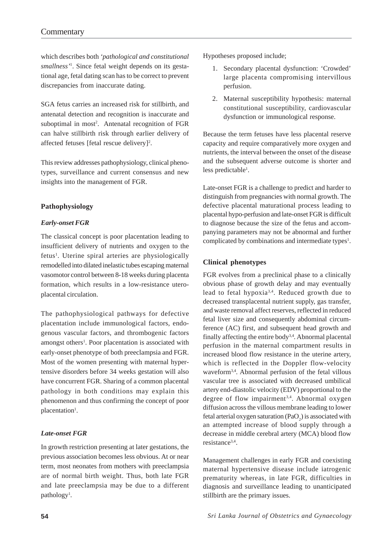which describes both *'pathological and constitutional smallness'*<sup>1</sup> . Since fetal weight depends on its gestational age, fetal dating scan has to be correct to prevent discrepancies from inaccurate dating.

SGA fetus carries an increased risk for stillbirth, and antenatal detection and recognition is inaccurate and suboptimal in most<sup>2</sup>. Antenatal recognition of FGR can halve stillbirth risk through earlier delivery of affected fetuses [fetal rescue delivery]<sup>2</sup>.

This review addresses pathophysiology, clinical phenotypes, surveillance and current consensus and new insights into the management of FGR.

#### **Pathophysiology**

#### *Early-onset FGR*

The classical concept is poor placentation leading to insufficient delivery of nutrients and oxygen to the fetus<sup>1</sup>. Uterine spiral arteries are physiologically remodelled into dilated inelastic tubes escaping maternal vasomotor control between 8-18 weeks during placenta formation, which results in a low-resistance uteroplacental circulation.

The pathophysiological pathways for defective placentation include immunological factors, endogenous vascular factors, and thrombogenic factors amongst others<sup>1</sup>. Poor placentation is associated with early-onset phenotype of both preeclampsia and FGR. Most of the women presenting with maternal hypertensive disorders before 34 weeks gestation will also have concurrent FGR. Sharing of a common placental pathology in both conditions may explain this phenomenon and thus confirming the concept of poor placentation<sup>1</sup>.

#### *Late-onset FGR*

In growth restriction presenting at later gestations, the previous association becomes less obvious. At or near term, most neonates from mothers with preeclampsia are of normal birth weight. Thus, both late FGR and late preeclampsia may be due to a different pathology<sup>1</sup>.

Hypotheses proposed include;

- 1. Secondary placental dysfunction: 'Crowded' large placenta compromising intervillous perfusion.
- 2. Maternal susceptibility hypothesis: maternal constitutional susceptibility, cardiovascular dysfunction or immunological response.

Because the term fetuses have less placental reserve capacity and require comparatively more oxygen and nutrients, the interval between the onset of the disease and the subsequent adverse outcome is shorter and less predictable<sup>1</sup>.

Late-onset FGR is a challenge to predict and harder to distinguish from pregnancies with normal growth. The defective placental maturational process leading to placental hypo-perfusion and late-onset FGR is difficult to diagnose because the size of the fetus and accompanying parameters may not be abnormal and further complicated by combinations and intermediate types<sup>1</sup>.

#### **Clinical phenotypes**

FGR evolves from a preclinical phase to a clinically obvious phase of growth delay and may eventually lead to fetal hypoxia3,4. Reduced growth due to decreased transplacental nutrient supply, gas transfer, and waste removal affect reserves, reflected in reduced fetal liver size and consequently abdominal circumference (AC) first, and subsequent head growth and finally affecting the entire body3,4. Abnormal placental perfusion in the maternal compartment results in increased blood flow resistance in the uterine artery, which is reflected in the Doppler flow-velocity waveform3,4. Abnormal perfusion of the fetal villous vascular tree is associated with decreased umbilical artery end-diastolic velocity (EDV) proportional to the degree of flow impairment<sup>3,4</sup>. Abnormal oxygen diffusion across the villous membrane leading to lower fetal arterial oxygen saturation  $(PaO<sub>2</sub>)$  is associated with an attempted increase of blood supply through a decrease in middle cerebral artery (MCA) blood flow resistance<sup>3,4</sup>.

Management challenges in early FGR and coexisting maternal hypertensive disease include iatrogenic prematurity whereas, in late FGR, difficulties in diagnosis and surveillance leading to unanticipated stillbirth are the primary issues.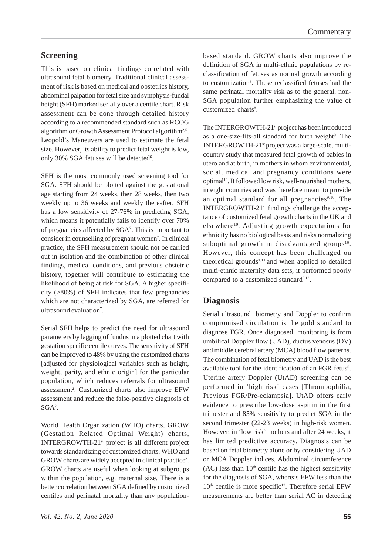# **Screening**

This is based on clinical findings correlated with ultrasound fetal biometry. Traditional clinical assessment of risk is based on medical and obstetrics history, abdominal palpation for fetal size and symphysis-fundal height (SFH) marked serially over a centile chart. Risk assessment can be done through detailed history according to a recommended standard such as RCOG algorithm or Growth Assessment Protocol algorithm<sup>2,5</sup>. Leopold's Maneuvers are used to estimate the fetal size. However, its ability to predict fetal weight is low, only 30% SGA fetuses will be detected<sup>6</sup>.

SFH is the most commonly used screening tool for SGA. SFH should be plotted against the gestational age starting from 24 weeks, then 28 weeks, then two weekly up to 36 weeks and weekly thereafter. SFH has a low sensitivity of 27-76% in predicting SGA, which means it potentially fails to identify over 70% of pregnancies affected by SGA<sup>7</sup>. This is important to consider in counselling of pregnant women<sup>7</sup>. In clinical practice, the SFH measurement should not be carried out in isolation and the combination of other clinical findings, medical conditions, and previous obstetric history, together will contribute to estimating the likelihood of being at risk for SGA. A higher specificity (>80%) of SFH indicates that few pregnancies which are not characterized by SGA, are referred for ultrasound evaluation<sup>7</sup>.

Serial SFH helps to predict the need for ultrasound parameters by lagging of fundus in a plotted chart with gestation specific centile curves. The sensitivity of SFH can be improved to 48% by using the customized charts [adjusted for physiological variables such as height, weight, parity, and ethnic origin] for the particular population, which reduces referrals for ultrasound assessment<sup>2</sup>. Customized charts also improve EFW assessment and reduce the false-positive diagnosis of SGA2 .

World Health Organization (WHO) charts, GROW (Gestation Related Optimal Weight) charts, INTERGROWTH-21st project is all different project towards standardizing of customized charts. WHO and GROW charts are widely accepted in clinical practice<sup>2</sup>. GROW charts are useful when looking at subgroups within the population, e.g. maternal size. There is a better correlation between SGA defined by customized centiles and perinatal mortality than any population-

based standard. GROW charts also improve the definition of SGA in multi-ethnic populations by reclassification of fetuses as normal growth according to customization<sup>8</sup>. These reclassified fetuses had the same perinatal mortality risk as to the general, non-SGA population further emphasizing the value of customized charts<sup>8</sup>.

The INTERGROWTH-21<sup>st</sup> project has been introduced as a one-size-fits-all standard for birth weight<sup>9</sup>. The INTERGROWTH-21<sup>st</sup> project was a large-scale, multicountry study that measured fetal growth of babies in utero and at birth, in mothers in whom environmental, social, medical and pregnancy conditions were optimal<sup>10</sup>. It followed low risk, well-nourished mothers, in eight countries and was therefore meant to provide an optimal standard for all pregnancies $9,10$ . The INTERGROWTH-21st findings challenge the acceptance of customized fetal growth charts in the UK and elsewhere<sup>10</sup>. Adjusting growth expectations for ethnicity has no biological basis and risks normalizing suboptimal growth in disadvantaged groups $10$ . However, this concept has been challenged on theoretical grounds $1,11$  and when applied to detailed multi-ethnic maternity data sets, it performed poorly compared to a customized standard $2,12$ .

## **Diagnosis**

Serial ultrasound biometry and Doppler to confirm compromised circulation is the gold standard to diagnose FGR. Once diagnosed, monitoring is from umbilical Doppler flow (UAD), ductus venosus (DV) and middle cerebral artery (MCA) blood flow patterns. The combination of fetal biometry and UAD is the best available tool for the identification of an FGR fetus<sup>5</sup>. Uterine artery Doppler (UtAD) screening can be performed in 'high risk' cases [Thrombophilia, Previous FGR/Pre-eclampsia]. UtAD offers early evidence to prescribe low-dose aspirin in the first trimester and 85% sensitivity to predict SGA in the second trimester (22-23 weeks) in high-risk women. However, in 'low risk' mothers and after 24 weeks, it has limited predictive accuracy. Diagnosis can be based on fetal biometry alone or by considering UAD or MCA Doppler indices. Abdominal circumference  $(AC)$  less than  $10<sup>th</sup>$  centile has the highest sensitivity for the diagnosis of SGA, whereas EFW less than the  $10<sup>th</sup>$  centile is more specific<sup>13</sup>. Therefore serial EFW measurements are better than serial AC in detecting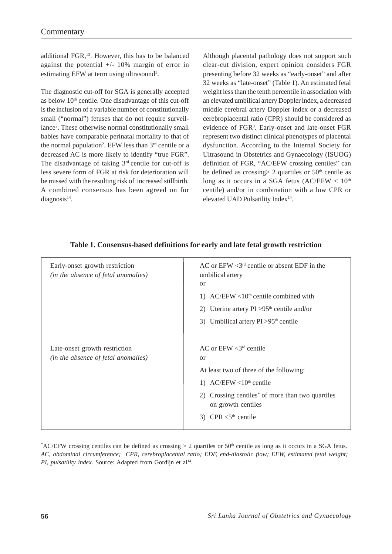additional FGR,13. However, this has to be balanced against the potential  $+/- 10\%$  margin of error in estimating EFW at term using ultrasound<sup>2</sup>.

The diagnostic cut-off for SGA is generally accepted as below  $10<sup>th</sup>$  centile. One disadvantage of this cut-off is the inclusion of a variable number of constitutionally small ("normal") fetuses that do not require surveillance<sup>2</sup>. These otherwise normal constitutionally small babies have comparable perinatal mortality to that of the normal population<sup>2</sup>. EFW less than  $3<sup>rd</sup>$  centile or a decreased AC is more likely to identify "true FGR". The disadvantage of taking  $3<sup>rd</sup>$  centile for cut-off is less severe form of FGR at risk for deterioration will be missed with the resulting risk of increased stillbirth. A combined consensus has been agreed on for diagnosis<sup>14</sup>.

Although placental pathology does not support such clear-cut division, expert opinion considers FGR presenting before 32 weeks as "early-onset" and after 32 weeks as "late-onset" (Table 1). An estimated fetal weight less than the tenth percentile in association with an elevated umbilical artery Doppler index, a decreased middle cerebral artery Doppler index or a decreased cerebroplacental ratio (CPR) should be considered as evidence of FGR<sup>3</sup>. Early-onset and late-onset FGR represent two distinct clinical phenotypes of placental dysfunction. According to the Internal Society for Ultrasound in Obstetrics and Gynaecology (ISUOG) definition of FGR, "AC/EFW crossing centiles" can be defined as crossing  $> 2$  quartiles or  $50<sup>th</sup>$  centile as long as it occurs in a SGA fetus  $(AC/EFW < 10<sup>th</sup>)$ centile) and/or in combination with a low CPR or elevated UAD Pulsatility Index<sup>14</sup>.

| Early-onset growth restriction<br>(in the absence of fetal anomalies) | AC or $EFW < 3^{rd}$ centile or absent EDF in the<br>umbilical artery<br>or<br>1) AC/EFW <10 <sup>th</sup> centile combined with<br>2) Uterine artery $PI > 95th$ centile and/or<br>3) Umbilical artery $PI > 95th$ centile                   |
|-----------------------------------------------------------------------|-----------------------------------------------------------------------------------------------------------------------------------------------------------------------------------------------------------------------------------------------|
| Late-onset growth restriction<br>(in the absence of fetal anomalies)  | AC or $EFW < 3rd$ centile<br>or<br>At least two of three of the following:<br>1) AC/EFW <10 <sup>th</sup> centile<br>2) Crossing centiles <sup>*</sup> of more than two quartiles<br>on growth centiles<br>3) CPR $<$ 5 <sup>th</sup> centile |

## **Table 1. Consensus-based definitions for early and late fetal growth restriction**

\*AC/EFW crossing centiles can be defined as crossing > 2 quartiles or 50<sup>th</sup> centile as long as it occurs in a SGA fetus. *AC, abdominal circumference; CPR, cerebroplacental ratio; EDF, end-diastolic flow; EFW, estimated fetal weight; PI, pulsatility index.* Source: Adapted from Gordijn et al<sup>14</sup>.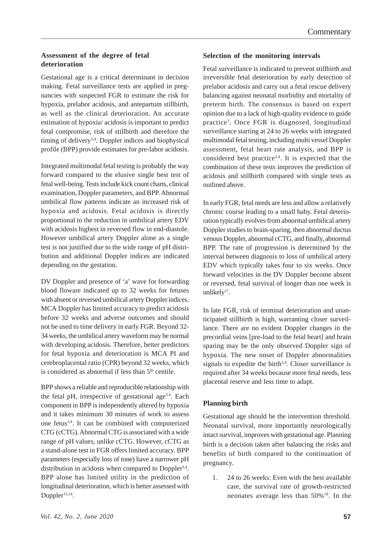#### **Assessment of the degree of fetal deterioration**

Gestational age is a critical determinant in decision making. Fetal surveillance tests are applied in pregnancies with suspected FGR to estimate the risk for hypoxia, prelabor acidosis, and antepartum stillbirth, as well as the clinical deterioration. An accurate estimation of hypoxia/ acidosis is important to predict fetal compromise, risk of stillbirth and therefore the timing of delivery<sup>3,4</sup>. Doppler indices and biophysical profile (BPP) provide estimates for pre-labor acidosis.

Integrated multimodal fetal testing is probably the way forward compared to the elusive single best test of fetal well-being. Tests include kick count charts, clinical examination, Doppler parameters, and BPP. Abnormal umbilical flow patterns indicate an increased risk of hypoxia and acidosis. Fetal acidosis is directly proportional to the reduction in umbilical artery EDV with acidosis highest in reversed flow in end-diastole. However umbilical artery Doppler alone as a single test is not justified due to the wide range of pH distribution and additional Doppler indices are indicated depending on the gestation.

DV Doppler and presence of 'a' wave for forwarding blood floware indicated up to 32 weeks for fetuses with absent or reversed umbilical artery Doppler indices. MCA Doppler has limited accuracy to predict acidosis before 32 weeks and adverse outcomes and should not be used to time delivery in early FGR. Beyond 32- 34 weeks, the umbilical artery waveform may be normal with developing acidosis. Therefore, better predictors for fetal hypoxia and deterioration is MCA PI and cerebroplacental ratio (CPR) beyond 32 weeks, which is considered as abnormal if less than  $5<sup>th</sup>$  centile.

BPP shows a reliable and reproducible relationship with the fetal pH, irrespective of gestational age<sup>3,4</sup>. Each component in BPP is independently altered by hypoxia and it takes minimum 30 minutes of work to assess one fetus3,4. It can be combined with computerized CTG (cCTG). Abnormal CTG is associated with a wide range of pH values, unlike cCTG. However, cCTG as a stand-alone test in FGR offers limited accuracy. BPP parameters (especially loss of tone) have a narrower pH distribution in acidosis when compared to Doppler<sup>3,4</sup>. BPP alone has limited utility in the prediction of longitudinal deterioration, which is better assessed with Doppler<sup>15,16</sup>.

#### **Selection of the monitoring intervals**

Fetal surveillance is indicated to prevent stillbirth and irreversible fetal deterioration by early detection of prelabor acidosis and carry out a fetal rescue delivery balancing against neonatal morbidity and mortality of preterm birth. The consensus is based on expert opinion due to a lack of high-quality evidence to guide practice3 . Once FGR is diagnosed, longitudinal surveillance starting at 24 to 26 weeks with integrated multimodal fetal testing, including multi vessel Doppler assessment, fetal heart rate analysis, and BPP is considered best practice3,4. It is expected that the combination of these tests improves the prediction of acidosis and stillbirth compared with single tests as outlined above.

In early FGR, fetal needs are less and allow a relatively chronic course leading to a small baby. Fetal deterioration typically evolves from abnormal umbilical artery Doppler studies to brain-sparing, then abnormal ductus venous Doppler, abnormal cCTG, and finally, abnormal BPP. The rate of progression is determined by the interval between diagnosis to loss of umbilical artery EDV which typically takes four to six weeks. Once forward velocities in the DV Doppler become absent or reversed, fetal survival of longer than one week is unlikely<sup>17</sup>.

In late FGR, risk of terminal deterioration and unanticipated stillbirth is high, warranting closer surveillance. There are no evident Doppler changes in the precordial veins [pre-load to the fetal heart] and brain sparing may be the only observed Doppler sign of hypoxia. The new onset of Doppler abnormalities signals to expedite the birth<sup>3,4</sup>. Closer surveillance is required after 34 weeks because more fetal needs, less placental reserve and less time to adapt.

#### **Planning birth**

Gestational age should be the intervention threshold. Neonatal survival, more importantly neurologically intact survival, improves with gestational age. Planning birth is a decision taken after balancing the risks and benefits of birth compared to the continuation of pregnancy.

1. 24 to 26 weeks: Even with the best available care, the survival rate of growth-restricted neonates average less than 50%18. In the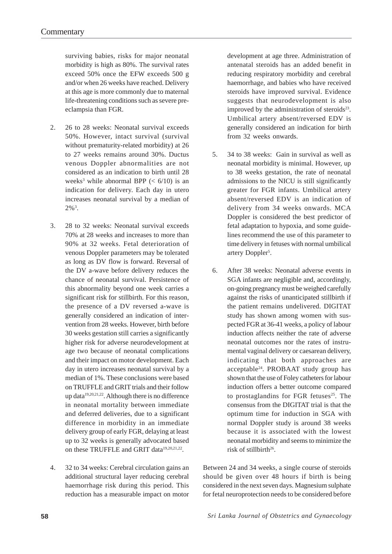surviving babies, risks for major neonatal morbidity is high as 80%. The survival rates exceed 50% once the EFW exceeds 500 g and/or when 26 weeks have reached. Delivery at this age is more commonly due to maternal life-threatening conditions such as severe preeclampsia than FGR.

- 2. 26 to 28 weeks: Neonatal survival exceeds 50%. However, intact survival (survival without prematurity-related morbidity) at 26 to 27 weeks remains around 30%. Ductus venous Doppler abnormalities are not considered as an indication to birth until 28 weeks<sup>3</sup> while abnormal BPP  $(< 6/10)$  is an indication for delivery. Each day in utero increases neonatal survival by a median of  $2\%$ <sup>3</sup>.
- 3. 28 to 32 weeks: Neonatal survival exceeds 70% at 28 weeks and increases to more than 90% at 32 weeks. Fetal deterioration of venous Doppler parameters may be tolerated as long as DV flow is forward. Reversal of the DV a-wave before delivery reduces the chance of neonatal survival. Persistence of this abnormality beyond one week carries a significant risk for stillbirth. For this reason, the presence of a DV reversed a-wave is generally considered an indication of intervention from 28 weeks. However, birth before 30 weeks gestation still carries a significantly higher risk for adverse neurodevelopment at age two because of neonatal complications and their impact on motor development. Each day in utero increases neonatal survival by a median of 1%. These conclusions were based on TRUFFLE and GRIT trials and their follow up data19,20,21,22. Although there is no difference in neonatal mortality between immediate and deferred deliveries, due to a significant difference in morbidity in an immediate delivery group of early FGR, delaying at least up to 32 weeks is generally advocated based on these TRUFFLE and GRIT data<sup>19,20,21,22</sup>.
- 4. 32 to 34 weeks: Cerebral circulation gains an additional structural layer reducing cerebral haemorrhage risk during this period. This reduction has a measurable impact on motor

development at age three. Administration of antenatal steroids has an added benefit in reducing respiratory morbidity and cerebral haemorrhage, and babies who have received steroids have improved survival. Evidence suggests that neurodevelopment is also improved by the administration of steroids<sup>23</sup>. Umbilical artery absent/reversed EDV is generally considered an indication for birth from 32 weeks onwards.

- 5. 34 to 38 weeks: Gain in survival as well as neonatal morbidity is minimal. However, up to 38 weeks gestation, the rate of neonatal admissions to the NICU is still significantly greater for FGR infants. Umbilical artery absent/reversed EDV is an indication of delivery from 34 weeks onwards. MCA Doppler is considered the best predictor of fetal adaptation to hypoxia, and some guidelines recommend the use of this parameter to time delivery in fetuses with normal umbilical artery Doppler<sup>5</sup>.
- 6. After 38 weeks: Neonatal adverse events in SGA infants are negligible and, accordingly, on-going pregnancy must be weighed carefully against the risks of unanticipated stillbirth if the patient remains undelivered. DIGITAT study has shown among women with suspected FGR at 36-41 weeks, a policy of labour induction affects neither the rate of adverse neonatal outcomes nor the rates of instrumental vaginal delivery or caesarean delivery, indicating that both approaches are  $acceptable<sup>24</sup>$ . PROBAAT study group has shown that the use of Foley catheters for labour induction offers a better outcome compared to prostaglandins for FGR fetuses $25$ . The consensus from the DIGITAT trial is that the optimum time for induction in SGA with normal Doppler study is around 38 weeks because it is associated with the lowest neonatal morbidity and seems to minimize the risk of stillbirth<sup>26</sup>.

Between 24 and 34 weeks, a single course of steroids should be given over 48 hours if birth is being considered in the next seven days. Magnesium sulphate for fetal neuroprotection needs to be considered before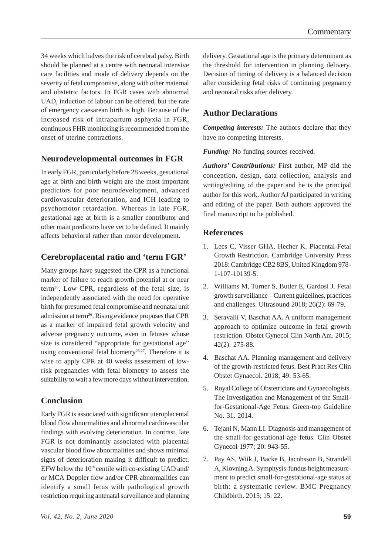34 weeks which halves the risk of cerebral palsy. Birth should be planned at a centre with neonatal intensive care facilities and mode of delivery depends on the severity of fetal compromise, along with other maternal and obstetric factors. In FGR cases with abnormal UAD, induction of labour can be offered, but the rate of emergency caesarean birth is high. Because of the increased risk of intrapartum asphyxia in FGR, continuous FHR monitoring is recommended from the onset of uterine contractions.

# **Neurodevelopmental outcomes in FGR**

In early FGR, particularly before 28 weeks, gestational age at birth and birth weight are the most important predictors for poor neurodevelopment, advanced cardiovascular deterioration, and ICH leading to psychomotor retardation. Whereas in late FGR, gestational age at birth is a smaller contributor and other main predictors have yet to be defined. It mainly affects behavioral rather than motor development.

# **Cerebroplacental ratio and 'term FGR'**

Many groups have suggested the CPR as a functional marker of failure to reach growth potential at or near term26. Low CPR, regardless of the fetal size, is independently associated with the need for operative birth for presumed fetal compromise and neonatal unit admission at term26. Rising evidence proposes that CPR as a marker of impaired fetal growth velocity and adverse pregnancy outcome, even in fetuses whose size is considered "appropriate for gestational age" using conventional fetal biometry<sup>26,27</sup>. Therefore it is wise to apply CPR at 40 weeks assessment of lowrisk pregnancies with fetal biometry to assess the suitability to wait a few more days without intervention.

# **Conclusion**

Early FGR is associated with significant uteroplacental blood flow abnormalities and abnormal cardiovascular findings with evolving deterioration. In contrast, late FGR is not dominantly associated with placental vascular blood flow abnormalities and shows minimal signs of deterioration making it difficult to predict. EFW below the  $10<sup>th</sup>$  centile with co-existing UAD and/ or MCA Doppler flow and/or CPR abnormalities can identify a small fetus with pathological growth restriction requiring antenatal surveillance and planning delivery. Gestational age is the primary determinant as the threshold for intervention in planning delivery. Decision of timing of delivery is a balanced decision after considering fetal risks of continuing pregnancy and neonatal risks after delivery.

# **Author Declarations**

*Competing interests:* The authors declare that they have no competing interests.

*Funding:* No funding sources received.

*Authors' Contributions:* First author, MP did the conception, design, data collection, analysis and writing/editing of the paper and he is the principal author for this work. Author AJ participated in writing and editing of the paper. Both authors approved the final manuscript to be published.

## **References**

- 1. Lees C, Visser GHA, Hecher K. Placental-Fetal Growth Restriction. Cambridge University Press 2018: Cambridge CB2 8BS, United Kingdom 978- 1-107-10139-5.
- 2. Williams M, Turner S, Butler E, Gardosi J. Fetal growth surveillance – Current guidelines, practices and challenges. Ultrasound 2018; 26(2): 69-79.
- 3. Seravalli V, Baschat AA. A uniform management approach to optimize outcome in fetal growth restriction. Obstet Gynecol Clin North Am. 2015; 42(2): 275-88.
- 4. Baschat AA. Planning management and delivery of the growth-restricted fetus. Best Pract Res Clin Obstet Gynaecol. 2018; 49: 53-65.
- 5. Royal College of Obstetricians and Gynaecologists. The Investigation and Management of the Smallfor-Gestational-Age Fetus. Green-top Guideline No. 31. 2014.
- 6. Tejani N, Mann LI. Diagnosis and management of the small-for-gestational-age fetus. Clin Obstet Gynecol 1977; 20: 943-55.
- 7. Pay AS, Wiik J, Backe B, Jacobsson B, Strandell A, Klovning A. Symphysis-fundus height measurement to predict small-for-gestational-age status at birth: a systematic review. BMC Pregnancy Childbirth. 2015; 15: 22.